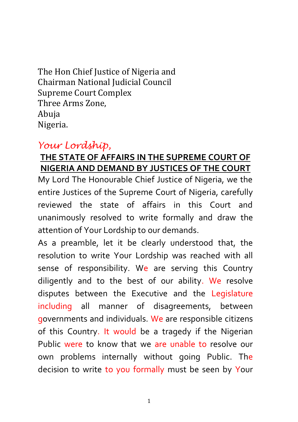The Hon Chief Justice of Nigeria and Chairman National Judicial Council Supreme Court Complex Three Arms Zone, Abuja Nigeria.

## *Your Lordship,*

## **THE STATE OF AFFAIRS IN THE SUPREME COURT OF NIGERIA AND DEMAND BY JUSTICES OF THE COURT**

My Lord The Honourable Chief Justice of Nigeria, we the entire Justices of the Supreme Court of Nigeria, carefully reviewed the state of affairs in this Court and unanimously resolved to write formally and draw the attention of Your Lordship to our demands.

As a preamble, let it be clearly understood that, the resolution to write Your Lordship was reached with all sense of responsibility. We are serving this Country diligently and to the best of our ability. We resolve disputes between the Executive and the Legislature including all manner of disagreements, between governments and individuals. We are responsible citizens of this Country. It would be a tragedy if the Nigerian Public were to know that we are unable to resolve our own problems internally without going Public. The decision to write to you formally must be seen by Your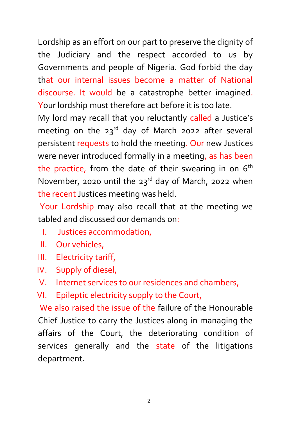Lordship as an effort on our part to preserve the dignity of the Judiciary and the respect accorded to us by Governments and people of Nigeria. God forbid the day that our internal issues become a matter of National discourse. It would be a catastrophe better imagined. Your lordship must therefore act before it is too late.

My lord may recall that you reluctantly called a Justice's meeting on the  $23^{rd}$  day of March 2022 after several persistent requests to hold the meeting. Our new Justices were never introduced formally in a meeting, as has been the practice, from the date of their swearing in on  $6<sup>th</sup>$ November, 2020 until the  $23<sup>rd</sup>$  day of March, 2022 when the recent Justices meeting was held.

Your Lordship may also recall that at the meeting we tabled and discussed our demands on:

- I. Justices accommodation,
- II. Our vehicles,
- III. Electricity tariff,
- IV. Supply of diesel,
- V. Internet services to our residences and chambers,
- VI. Epileptic electricity supply to the Court,

We also raised the issue of the failure of the Honourable Chief Justice to carry the Justices along in managing the affairs of the Court, the deteriorating condition of services generally and the state of the litigations department.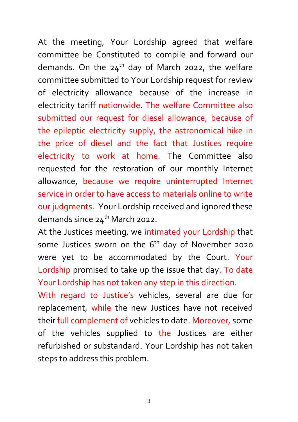At the meeting, Your Lordship agreed that welfare committee be Constituted to compile and forward our demands. On the  $24<sup>th</sup>$  day of March 2022, the welfare committee submitted to Your Lordship request for review of electricity allowance because of the increase in electricity tariff nationwide. The welfare Committee also submitted our request for diesel allowance, because of the epileptic electricity supply, the astronomical hike in the price of diesel and the fact that Justices require electricity to work at home. The Committee also requested for the restoration of our monthly Internet allowance, because we require uninterrupted Internet service in order to have access to materials online to write our judgments. Your Lordship received and ignored these demands since  $24<sup>th</sup>$  March 2022.

At the Justices meeting, we intimated your Lordship that some Justices sworn on the  $6<sup>th</sup>$  day of November 2020 were yet to be accommodated by the Court. Your Lordship promised to take up the issue that day. To date Your Lordship has not taken any step in this direction.

With regard to Justice's vehicles, several are due for replacement, while the new Justices have not received their full complement of vehicles to date. Moreover, some of the vehicles supplied to the Justices are either refurbished or substandard. Your Lordship has not taken steps to address this problem.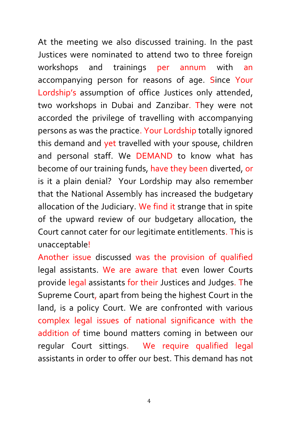At the meeting we also discussed training. In the past Justices were nominated to attend two to three foreign workshops and trainings per annum with an accompanying person for reasons of age. Since Your Lordship's assumption of office Justices only attended, two workshops in Dubai and Zanzibar. They were not accorded the privilege of travelling with accompanying persons as was the practice. Your Lordship totally ignored this demand and yet travelled with your spouse, children and personal staff. We DEMAND to know what has become of our training funds, have they been diverted, or is it a plain denial? Your Lordship may also remember that the National Assembly has increased the budgetary allocation of the Judiciary. We find it strange that in spite of the upward review of our budgetary allocation, the Court cannot cater for our legitimate entitlements. This is unacceptable!

Another issue discussed was the provision of qualified legal assistants. We are aware that even lower Courts provide legal assistants for their Justices and Judges. The Supreme Court, apart from being the highest Court in the land, is a policy Court. We are confronted with various complex legal issues of national significance with the addition of time bound matters coming in between our regular Court sittings. We require qualified legal assistants in order to offer our best. This demand has not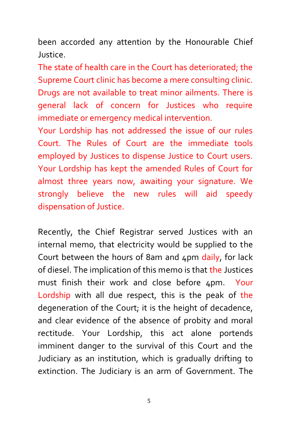been accorded any attention by the Honourable Chief Justice.

The state of health care in the Court has deteriorated; the Supreme Court clinic has become a mere consulting clinic. Drugs are not available to treat minor ailments. There is general lack of concern for Justices who require immediate or emergency medical intervention.

Your Lordship has not addressed the issue of our rules Court. The Rules of Court are the immediate tools employed by Justices to dispense Justice to Court users. Your Lordship has kept the amended Rules of Court for almost three years now, awaiting your signature. We strongly believe the new rules will aid speedy dispensation of Justice.

Recently, the Chief Registrar served Justices with an internal memo, that electricity would be supplied to the Court between the hours of 8am and 4pm daily, for lack of diesel. The implication of this memo is that the Justices must finish their work and close before 4pm. Your Lordship with all due respect, this is the peak of the degeneration of the Court; it is the height of decadence, and clear evidence of the absence of probity and moral rectitude. Your Lordship, this act alone portends imminent danger to the survival of this Court and the Judiciary as an institution, which is gradually drifting to extinction. The Judiciary is an arm of Government. The

5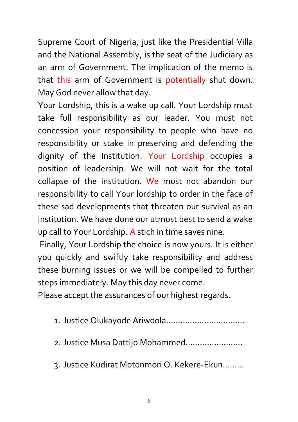Supreme Court of Nigeria, just like the Presidential Villa and the National Assembly, is the seat of the Judiciary as an arm of Government. The implication of the memo is that this arm of Government is potentially shut down. May God never allow that day.

Your Lordship, this is a wake up call. Your Lordship must take full responsibility as our leader. You must not concession your responsibility to people who have no responsibility or stake in preserving and defending the dignity of the Institution. Your Lordship occupies a position of leadership. We will not wait for the total collapse of the institution. We must not abandon our responsibility to call Your lordship to order in the face of these sad developments that threaten our survival as an institution. We have done our utmost best to send a wake up call to Your Lordship. A stich in time saves nine.

Finally, Your Lordship the choice is now yours. It is either you quickly and swiftly take responsibility and address these burning issues or we will be compelled to further steps immediately. May this day never come.

Please accept the assurances of our highest regards.

- 1. Justice Olukayode Ariwoola……………………………
- 2. Justice Musa Dattijo Mohammed……………………
- 3. Justice Kudirat Motonmori O. Kekere-Ekun………